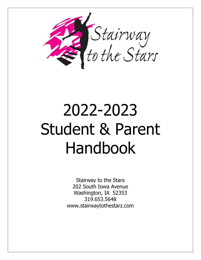

# 2022-2023 Student & Parent Handbook

Stairway to the Stars 202 South Iowa Avenue Washington, IA 52353 319.653.5648 www.stairwaytothestarz.com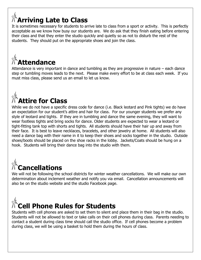#### **Arriving Late to Class**

It is sometimes necessary for students to arrive late to class from a sport or activity. This is perfectly acceptable as we know how busy our students are. We do ask that they finish eating before entering their class and that they enter the studio quickly and quietly so as not to disturb the rest of the students. They should put on the appropriate shoes and join the class.

### **Attendance**

Attendance is very important in dance and tumbling as they are progressive in nature – each dance step or tumbling moves leads to the next. Please make every effort to be at class each week. If you must miss class, please send us an email to let us know.

### **Attire for Class**

While we do not have a specific dress code for dance (i.e. Black leotard and Pink tights) we do have an expectation for our student's attire and hair for class. For our younger students we prefer any style of leotard and tights. If they are in tumbling and dance the same evening, they will want to wear footless tights and bring socks for dance. Older students are expected to wear a leotard or tight-fitting tank top with shorts and tights. All students should have their hair up and away from their face. It is best to leave necklaces, bracelets, and other jewelry at home. All students will also need a dance bag with their name in it to keep their shoes and socks together in the studio. Outside shoes/boots should be placed on the shoe racks in the lobby. Jackets/Coats should be hung on a hook. Students will bring their dance bag into the studio with them.

### **Cancellations**

We will not be following the school districts for winter weather cancellations. We will make our own determination about inclement weather and notify you via email. Cancellation announcements will also be on the studio website and the studio Facebook page.



Students with cell phones are asked to set them to silent and place them in their bag in the studio. Students will not be allowed to text or take calls on their cell phones during class. Parents needing to contact a student during class time should call the studio office. If cell phones become a problem during class, we will be using a basket to hold them during the hours of class.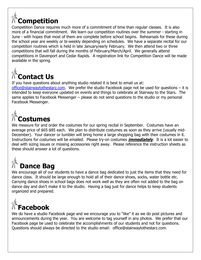### **Competition**

Competition Dance requires much more of a commitment of time than regular classes. It is also more of a financial commitment. We learn our competition routines over the summer - starting in June - with hopes that most of them are complete before school begins. Rehearsals for these during the school year are weekly or bi-weekly depending on schedules. We have a separate recital for our competition routines which is held in late January/early February. We then attend two or three competitions that will fall during the months of February/March/April. We generally attend competitions in Davenport and Cedar Rapids. A registration link for Competition Dance will be made available in the spring.



If you have questions about anything studio related it is best to email us at:

[office@stairwaytothestarz.com.](mailto:office@stairwaytothestarz.com) We prefer the studio Facebook page not be used for questions – it is intended to keep everyone updated on events and things to celebrate at Stairway to the Stars. The same applies to Facebook Messenger – please do not send questions to the studio or my personal Facebook Messenger.



We measure for and order the costumes for our spring recital in September. Costumes have an average price of \$65-\$85 each. We plan to distribute costumes as soon as they arrive (usually mid-December). Your dancer or tumbler will bring home a large shopping bag with their costumes in it. Instructions for costumes will be emailed. Please try-on costumes **immediately**. It is a lot easier to deal with sizing issues or missing accessories right away. Please reference the instruction sheets as these should answer a lot of questions.

#### **Dance Bag**

We encourage all of our students to have a dance bag dedicated to just the items that they need for dance class. It should be large enough to hold all of their dance shoes, socks, water bottle etc. Carrying dance shoes in school bags does not work well as they are often not added to the bag on dance day and don't make it to the studio. Having a bag just for dance helps to keep students organized and prepared.



We do have a studio Facebook page and we encourage you to "like" it as we do post pictures and announcements during the year. You are welcome to tag yourself in any photos. We prefer that our Facebook page be used to celebrate the accomplishments of our students and not for questions. Questions should always be directed to the studio email: office@stairwaytothestarz.com.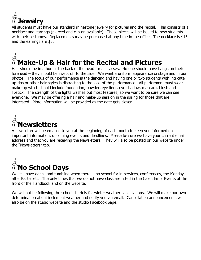

All students must have our standard rhinestone jewelry for pictures and the recital. This consists of a necklace and earrings (pierced and clip-on available). These pieces will be issued to new students with their costumes. Replacements may be purchased at any time in the office. The necklace is \$15 and the earrings are \$5.

### **Make-Up & Hair for the Recital and Pictures**

Hair should be in a bun at the back of the head for all classes. No one should have bangs on their forehead – they should be swept off to the side. We want a uniform appearance onstage and in our photos. The focus of our performance is the dancing and having one or two students with intricate up-dos or other hair styles is distracting to the look of the performance. All performers must wear make-up which should include foundation, powder, eye liner, eye shadow, mascara, blush and lipstick. The strength of the lights washes out most features, so we want to be sure we can see everyone. We may be offering a hair and make-up session in the spring for those that are interested. More information will be provided as the date gets closer.



A newsletter will be emailed to you at the beginning of each month to keep you informed on important information, upcoming events and deadlines. Please be sure we have your current email address and that you are receiving the Newsletters. They will also be posted on our website under the "Newsletters" tab.

### **No School Days**

We still have dance and tumbling when there is no school for in-services, conferences, the Monday after Easter etc. The only times that we do not have class are listed in the Calendar of Events at the front of the Handbook and on the website.

We will not be following the school districts for winter weather cancellations. We will make our own determination about inclement weather and notify you via email. Cancellation announcements will also be on the studio website and the studio Facebook page.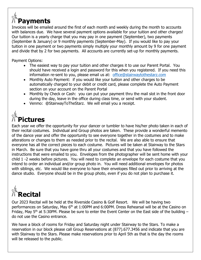### **Payments**

Invoices will be emailed around the first of each month and weekly during the month to accounts with balances due. We have several payment options available for your tuition and other charges! Our tuition is a yearly charge that you may pay in one payment (September), two payments (September & January) or 9 monthly payments (September-May). If you would like to pay your tuition in one payment or two payments simply multiply your monthly amount by 9 for one payment and divide that by 2 for two payments. All accounts are currently set-up for monthly payments.

Payment Options:

- The easiest way to pay your tuition and other charges it to use our Parent Portal. You should have received a login and password for this when you registered. If you need this information re-sent to you, please email us at: [office@stairwaytothestarz.com](mailto:office@stairwaytothestarz.com)
- Monthly Auto Payment: if you would like your tuition and other charges to be automatically charged to your debit or credit card, please complete the Auto Payment section on your account on the Parent Portal
- Monthly by Check or Cash: you can put your payment thru the mail slot in the front door during the day, leave in the office during class time, or send with your student.
- Venmo: @StairwayToTheStarz. We will email you a receipt.

### **Pictures**

Each year we offer the opportunity for your dancer or tumbler to have his/her photo taken in each of their recital costumes. Individual and Group photos are taken. These provide a wonderful memento of the dance year and offer the opportunity to see everyone together in the costumes and to make alterations or changes to them as needed prior to the recital. We are also able to ensure that everyone has all the correct pieces to each costume. Pictures will be taken at Stairway to the Stars in March. Be sure that you have gone thru all your costumes and that you have followed the instructions that were emailed to you. Envelopes from the photographer will be sent home with your child 1 -2 weeks before pictures. You will need to complete an envelope for each costume that you intend to order an individual and/or group photo in. You will need additional envelopes for photos with siblings, etc. We would like everyone to have their envelopes filled out prior to arriving at the dance studio. Everyone should be in the group photo, even if you do not plan to purchase it.



Our 2023 Recital will be held at the Riverside Casino & Golf Resort. We will be having two performances on Saturday, May 6<sup>th</sup> at 1:00PM and 6:00PM. Dress Rehearsal will be at the Casino on Friday, May 5<sup>th</sup> at 5:30PM. Please be sure to enter the Event Center on the East side of the building  $$ do not use the Casino entrance.

We have a block of rooms for Friday and Saturday night under Stairway to the Stars. To make a reservation in our block please call Group Reservations at (877).677.3456 and indicate that you are with Stairway to the Stars. Please make reservations prior to April 5th as that is the day the rooms will be released to the public.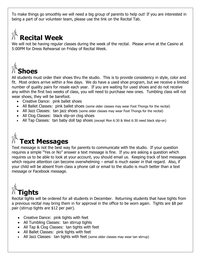To make things go smoothly we will need a big group of parents to help out! If you are interested in being a part of our volunteer team, please use the link on the Recital Tab.



#### **Recital Week**

We will not be having regular classes during the week of the recital. Please arrive at the Casino at 5:00PM for Dress Rehearsal on Friday of Recital Week.



All students must order their shoes thru the studio. This is to provide consistency in style, color and fit. Most orders arrive within a few days. We do have a used shoe program, but we receive a limited number of quality pairs for resale each year. If you are waiting for used shoes and do not receive any within the first two weeks of class, you will need to purchase new ones. Tumbling class will not wear shoes, they will be barefoot.

- Creative Dance: pink ballet shoes
- All Ballet Classes: pink ballet shoes (some older classes may wear Foot Thongs for the recital)
- All Jazz Classes: tan jazz shoes (some older classes may wear Foot Thongs for the recital)
- All Clog Classes: black slip-on clog shoes
- All Tap Classes: tan baby doll tap shoes (except Mon 6:30 & Wed 6:30 need black slip-on)

# **Text Messages**

Text message is not the best way for parents to communicate with the studio. If your question requires a simple "Yes or No" answer a text message is fine. If you are asking a question which requires us to be able to look at your account, you should email us. Keeping track of text messages which require attention can become overwhelming – email is much easier in that regard. Also, if your child will be absent from class a phone call or email to the studio is much better than a text message or Facebook message.



Recital tights will be ordered for all students in December. Returning students that have tights from a previous recital may bring them in for approval in the office to be worn again. Tights are \$8 per pair (stirrup tights are \$12 per pair).

- Creative Dance: pink tights with feet
- All Tumbling Classes: tan stirrup tights
- All Tap & Clog Classes: tan tights with feet
- All Ballet Classes: pink tights with feet
- All Jazz Classes: tan tights with feet (some older classes may wear tan stirrup)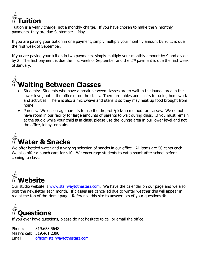#### **Tuition**

Tuition is a yearly charge, not a monthly charge. If you have chosen to make the 9 monthly payments, they are due September – May.

If you are paying your tuition in one payment, simply multiply your monthly amount by 9. It is due the first week of September.

If you are paying your tuition in two payments, simply multiply your monthly amount by 9 and divide by 2. The first payment is due the first week of September and the  $2<sup>nd</sup>$  payment is due the first week of January.



- Students: Students who have a break between classes are to wait in the lounge area in the lower level, not in the office or on the stairs. There are tables and chairs for doing homework and activities. There is also a microwave and utensils so they may heat up food brought from home.
- Parents: We encourage parents to use the drop-off/pick-up method for classes. We do not have room in our facility for large amounts of parents to wait during class. If you must remain at the studio while your child is in class, please use the lounge area in our lower level and not the office, lobby, or stairs.

### **Water & Snacks**

We offer bottled water and a varying selection of snacks in our office. All items are 50 cents each. We also offer a punch card for \$10. We encourage students to eat a snack after school before coming to class.

## **Website**

Our studio website is [www.stairwaytothestarz.com.](http://www.stairwaytothestarz.com/) We have the calendar on our page and we also post the newsletter each month. If classes are cancelled due to winter weather this will appear in red at the top of the Home page. Reference this site to answer lots of your questions  $\odot$ 



If you ever have questions, please do not hesitate to call or email the office.

Phone: 319.653.5648 Missy's cell: 319.461.2390 Email: [office@stairwaytothestarz.com](mailto:office@stairwaytothestarz.com)